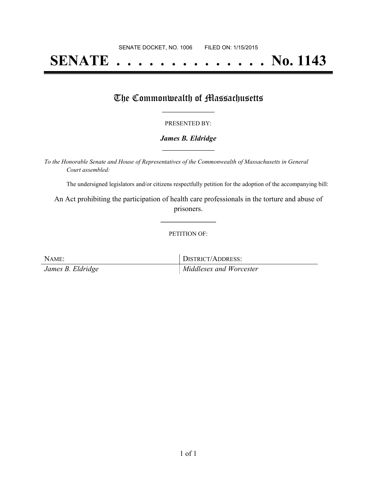# **SENATE . . . . . . . . . . . . . . No. 1143**

## The Commonwealth of Massachusetts

#### PRESENTED BY:

#### *James B. Eldridge* **\_\_\_\_\_\_\_\_\_\_\_\_\_\_\_\_\_**

*To the Honorable Senate and House of Representatives of the Commonwealth of Massachusetts in General Court assembled:*

The undersigned legislators and/or citizens respectfully petition for the adoption of the accompanying bill:

An Act prohibiting the participation of health care professionals in the torture and abuse of prisoners.

**\_\_\_\_\_\_\_\_\_\_\_\_\_\_\_**

PETITION OF:

NAME: DISTRICT/ADDRESS: *James B. Eldridge Middlesex and Worcester*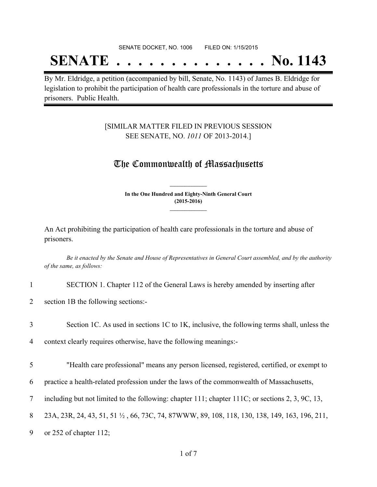#### SENATE DOCKET, NO. 1006 FILED ON: 1/15/2015

## **SENATE . . . . . . . . . . . . . . No. 1143**

By Mr. Eldridge, a petition (accompanied by bill, Senate, No. 1143) of James B. Eldridge for legislation to prohibit the participation of health care professionals in the torture and abuse of prisoners. Public Health.

### [SIMILAR MATTER FILED IN PREVIOUS SESSION SEE SENATE, NO. *1011* OF 2013-2014.]

## The Commonwealth of Massachusetts

**In the One Hundred and Eighty-Ninth General Court (2015-2016) \_\_\_\_\_\_\_\_\_\_\_\_\_\_\_**

**\_\_\_\_\_\_\_\_\_\_\_\_\_\_\_**

An Act prohibiting the participation of health care professionals in the torture and abuse of prisoners.

Be it enacted by the Senate and House of Representatives in General Court assembled, and by the authority *of the same, as follows:*

1 SECTION 1. Chapter 112 of the General Laws is hereby amended by inserting after

2 section 1B the following sections:-

3 Section 1C. As used in sections 1C to 1K, inclusive, the following terms shall, unless the

4 context clearly requires otherwise, have the following meanings:-

5 "Health care professional" means any person licensed, registered, certified, or exempt to

6 practice a health-related profession under the laws of the commonwealth of Massachusetts,

7 including but not limited to the following: chapter 111; chapter 111C; or sections 2, 3, 9C, 13,

8 23A, 23R, 24, 43, 51, 51 ½ , 66, 73C, 74, 87WWW, 89, 108, 118, 130, 138, 149, 163, 196, 211,

9 or 252 of chapter 112;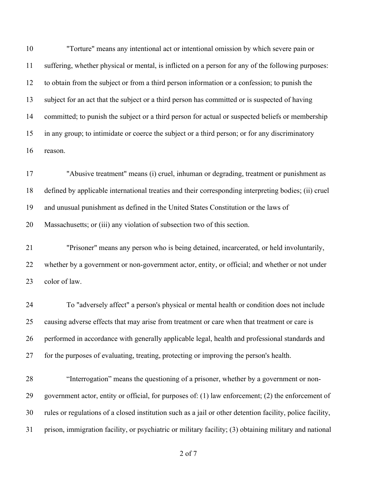"Torture" means any intentional act or intentional omission by which severe pain or suffering, whether physical or mental, is inflicted on a person for any of the following purposes: to obtain from the subject or from a third person information or a confession; to punish the subject for an act that the subject or a third person has committed or is suspected of having committed; to punish the subject or a third person for actual or suspected beliefs or membership in any group; to intimidate or coerce the subject or a third person; or for any discriminatory reason.

 "Abusive treatment" means (i) cruel, inhuman or degrading, treatment or punishment as defined by applicable international treaties and their corresponding interpreting bodies; (ii) cruel and unusual punishment as defined in the United States Constitution or the laws of Massachusetts; or (iii) any violation of subsection two of this section.

 "Prisoner" means any person who is being detained, incarcerated, or held involuntarily, whether by a government or non-government actor, entity, or official; and whether or not under color of law.

 To "adversely affect" a person's physical or mental health or condition does not include causing adverse effects that may arise from treatment or care when that treatment or care is performed in accordance with generally applicable legal, health and professional standards and for the purposes of evaluating, treating, protecting or improving the person's health.

 "Interrogation" means the questioning of a prisoner, whether by a government or non- government actor, entity or official, for purposes of: (1) law enforcement; (2) the enforcement of rules or regulations of a closed institution such as a jail or other detention facility, police facility, prison, immigration facility, or psychiatric or military facility; (3) obtaining military and national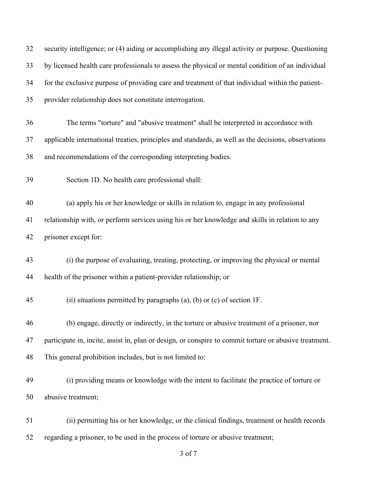| 32 | security intelligence; or (4) aiding or accomplishing any illegal activity or purpose. Questioning     |
|----|--------------------------------------------------------------------------------------------------------|
| 33 | by licensed health care professionals to assess the physical or mental condition of an individual      |
| 34 | for the exclusive purpose of providing care and treatment of that individual within the patient-       |
| 35 | provider relationship does not constitute interrogation.                                               |
| 36 | The terms "torture" and "abusive treatment" shall be interpreted in accordance with                    |
| 37 | applicable international treaties, principles and standards, as well as the decisions, observations    |
| 38 | and recommendations of the corresponding interpreting bodies.                                          |
| 39 | Section 1D. No health care professional shall:                                                         |
| 40 | (a) apply his or her knowledge or skills in relation to, engage in any professional                    |
| 41 | relationship with, or perform services using his or her knowledge and skills in relation to any        |
| 42 | prisoner except for:                                                                                   |
| 43 | (i) the purpose of evaluating, treating, protecting, or improving the physical or mental               |
| 44 | health of the prisoner within a patient-provider relationship; or                                      |
| 45 | (ii) situations permitted by paragraphs (a), (b) or (c) of section $1F$ .                              |
| 46 | (b) engage, directly or indirectly, in the torture or abusive treatment of a prisoner, nor             |
| 47 | participate in, incite, assist in, plan or design, or conspire to commit torture or abusive treatment. |
| 48 | This general prohibition includes, but is not limited to:                                              |
| 49 | (i) providing means or knowledge with the intent to facilitate the practice of torture or              |
| 50 | abusive treatment;                                                                                     |
| 51 | (ii) permitting his or her knowledge, or the clinical findings, treatment or health records            |
| 52 | regarding a prisoner, to be used in the process of torture or abusive treatment;                       |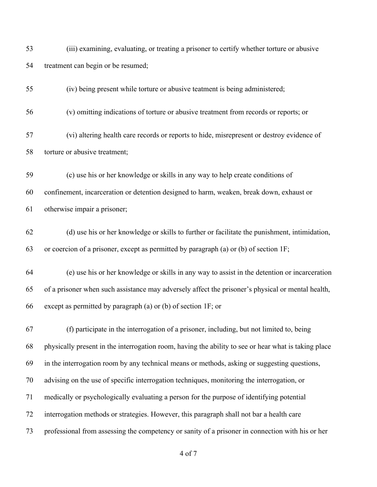| 53 | (iii) examining, evaluating, or treating a prisoner to certify whether torture or abusive            |
|----|------------------------------------------------------------------------------------------------------|
| 54 | treatment can begin or be resumed;                                                                   |
| 55 | (iv) being present while torture or abusive teatment is being administered;                          |
| 56 | (v) omitting indications of torture or abusive treatment from records or reports; or                 |
| 57 | (vi) altering health care records or reports to hide, misrepresent or destroy evidence of            |
| 58 | torture or abusive treatment;                                                                        |
| 59 | (c) use his or her knowledge or skills in any way to help create conditions of                       |
| 60 | confinement, incarceration or detention designed to harm, weaken, break down, exhaust or             |
| 61 | otherwise impair a prisoner;                                                                         |
| 62 | (d) use his or her knowledge or skills to further or facilitate the punishment, intimidation,        |
| 63 | or coercion of a prisoner, except as permitted by paragraph (a) or (b) of section 1F;                |
| 64 | (e) use his or her knowledge or skills in any way to assist in the detention or incarceration        |
| 65 | of a prisoner when such assistance may adversely affect the prisoner's physical or mental health,    |
| 66 | except as permitted by paragraph (a) or (b) of section 1F; or                                        |
| 67 | (f) participate in the interrogation of a prisoner, including, but not limited to, being             |
| 68 | physically present in the interrogation room, having the ability to see or hear what is taking place |
| 69 | in the interrogation room by any technical means or methods, asking or suggesting questions,         |
| 70 | advising on the use of specific interrogation techniques, monitoring the interrogation, or           |
| 71 | medically or psychologically evaluating a person for the purpose of identifying potential            |
| 72 | interrogation methods or strategies. However, this paragraph shall not bar a health care             |
| 73 | professional from assessing the competency or sanity of a prisoner in connection with his or her     |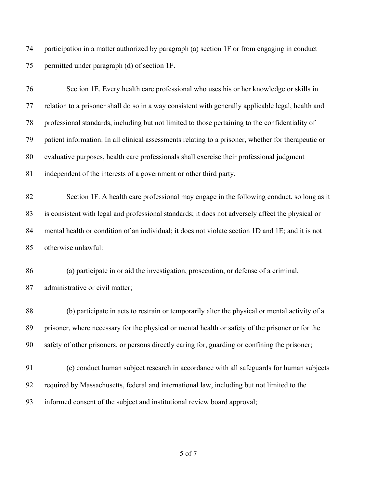participation in a matter authorized by paragraph (a) section 1F or from engaging in conduct permitted under paragraph (d) of section 1F.

| 76 | Section 1E. Every health care professional who uses his or her knowledge or skills in               |
|----|-----------------------------------------------------------------------------------------------------|
| 77 | relation to a prisoner shall do so in a way consistent with generally applicable legal, health and  |
| 78 | professional standards, including but not limited to those pertaining to the confidentiality of     |
| 79 | patient information. In all clinical assessments relating to a prisoner, whether for therapeutic or |
| 80 | evaluative purposes, health care professionals shall exercise their professional judgment           |
| 81 | independent of the interests of a government or other third party.                                  |
| 82 | Section 1F. A health care professional may engage in the following conduct, so long as it           |
| 83 | is consistent with legal and professional standards; it does not adversely affect the physical or   |
| 84 | mental health or condition of an individual; it does not violate section 1D and 1E; and it is not   |
| 85 | otherwise unlawful:                                                                                 |
| 86 | (a) participate in or aid the investigation, prosecution, or defense of a criminal,                 |
| 87 | administrative or civil matter;                                                                     |
| 88 | (b) participate in acts to restrain or temporarily alter the physical or mental activity of a       |
| 89 | prisoner, where necessary for the physical or mental health or safety of the prisoner or for the    |
| 90 | safety of other prisoners, or persons directly caring for, guarding or confining the prisoner;      |
| 91 | (c) conduct human subject research in accordance with all safeguards for human subjects             |
| 92 | required by Massachusetts, federal and international law, including but not limited to the          |
| 93 | informed consent of the subject and institutional review board approval;                            |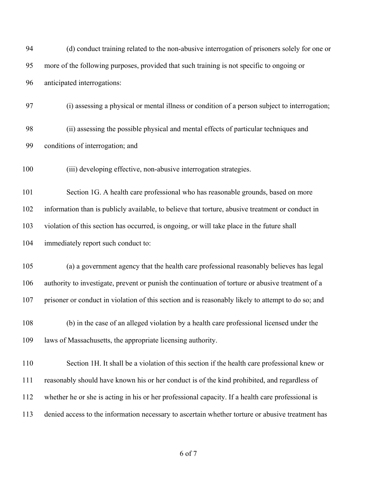| 94  | (d) conduct training related to the non-abusive interrogation of prisoners solely for one or       |
|-----|----------------------------------------------------------------------------------------------------|
| 95  | more of the following purposes, provided that such training is not specific to ongoing or          |
| 96  | anticipated interrogations:                                                                        |
| 97  | (i) assessing a physical or mental illness or condition of a person subject to interrogation;      |
| 98  | (ii) assessing the possible physical and mental effects of particular techniques and               |
| 99  | conditions of interrogation; and                                                                   |
| 100 | (iii) developing effective, non-abusive interrogation strategies.                                  |
| 101 | Section 1G. A health care professional who has reasonable grounds, based on more                   |
| 102 | information than is publicly available, to believe that torture, abusive treatment or conduct in   |
| 103 | violation of this section has occurred, is ongoing, or will take place in the future shall         |
| 104 | immediately report such conduct to:                                                                |
| 105 | (a) a government agency that the health care professional reasonably believes has legal            |
| 106 | authority to investigate, prevent or punish the continuation of torture or abusive treatment of a  |
| 107 | prisoner or conduct in violation of this section and is reasonably likely to attempt to do so; and |
| 108 | (b) in the case of an alleged violation by a health care professional licensed under the           |
| 109 | laws of Massachusetts, the appropriate licensing authority.                                        |
| 110 | Section 1H. It shall be a violation of this section if the health care professional knew or        |
| 111 | reasonably should have known his or her conduct is of the kind prohibited, and regardless of       |
| 112 | whether he or she is acting in his or her professional capacity. If a health care professional is  |
| 113 | denied access to the information necessary to ascertain whether torture or abusive treatment has   |
|     |                                                                                                    |